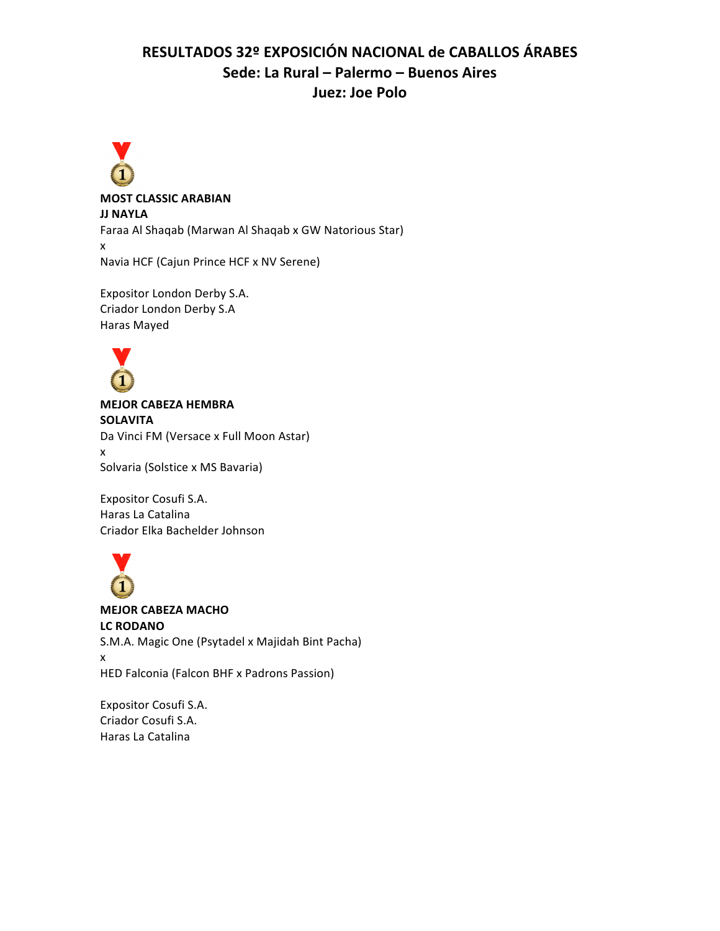# RESULTADOS 32º EXPOSICIÓN NACIONAL de CABALLOS ÁRABES **Sede: La Rural – Palermo – Buenos Aires Juez: Joe Polo**



**MOST CLASSIC ARABIAN JJ NAYLA** 

Faraa Al Shaqab (Marwan Al Shaqab x GW Natorious Star) x

Navia HCF (Cajun Prince HCF x NV Serene)

Expositor London Derby S.A. Criador London Derby S.A Haras Mayed



**MEJOR CABEZA HEMBRA SOLAVITA** Da Vinci FM (Versace x Full Moon Astar) x Solvaria (Solstice x MS Bavaria)

Expositor Cosufi S.A. Haras La Catalina Criador Elka Bachelder Johnson



**MEJOR CABEZA MACHO LC RODANO** S.M.A. Magic One (Psytadel x Majidah Bint Pacha) x HED Falconia (Falcon BHF x Padrons Passion)

Expositor Cosufi S.A. Criador Cosufi S.A. Haras La Catalina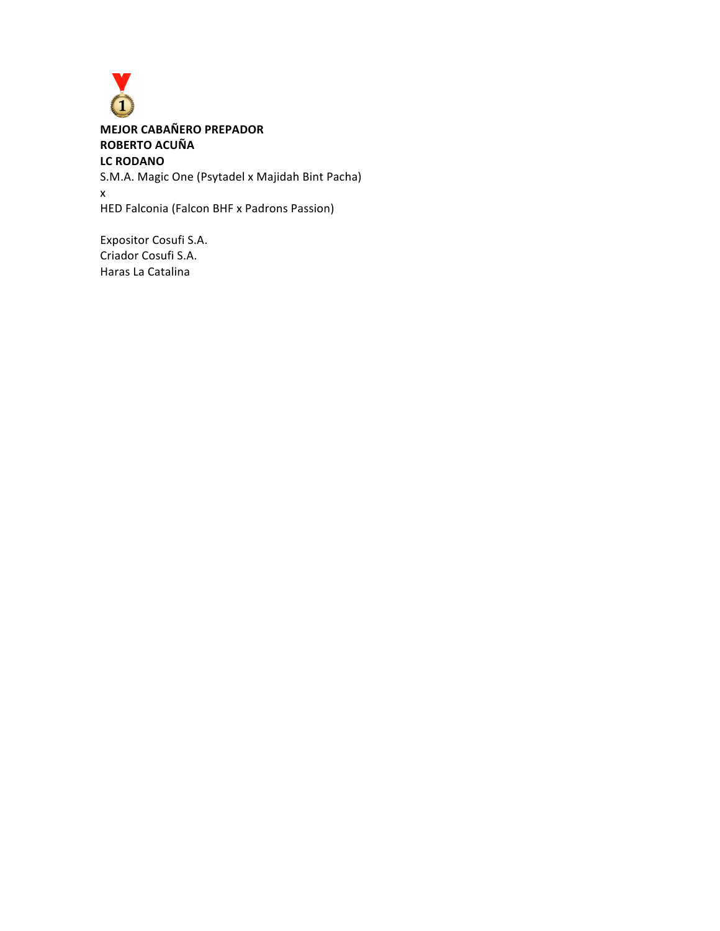

**MEJOR CABAÑERO PREPADOR ROBERTO ACUÑA LC RODANO** S.M.A. Magic One (Psytadel x Majidah Bint Pacha)

x HED Falconia (Falcon BHF x Padrons Passion)

Expositor Cosufi S.A. Criador Cosufi S.A. Haras La Catalina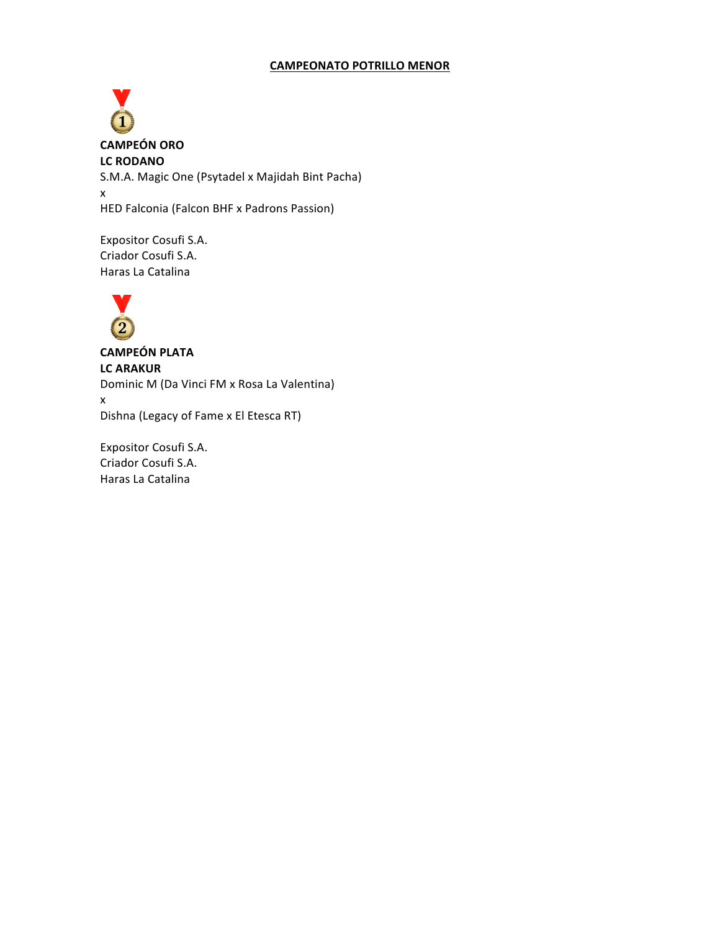### **CAMPEONATO POTRILLO MENOR**

**CAMPEÓN ORO LC RODANO** S.M.A. Magic One (Psytadel x Majidah Bint Pacha) x HED Falconia (Falcon BHF x Padrons Passion)

Expositor Cosufi S.A. Criador Cosufi S.A. Haras La Catalina



**CAMPEÓN PLATA LC ARAKUR** Dominic M (Da Vinci FM x Rosa La Valentina) x Dishna (Legacy of Fame x El Etesca RT)

Expositor Cosufi S.A. Criador Cosufi S.A. Haras La Catalina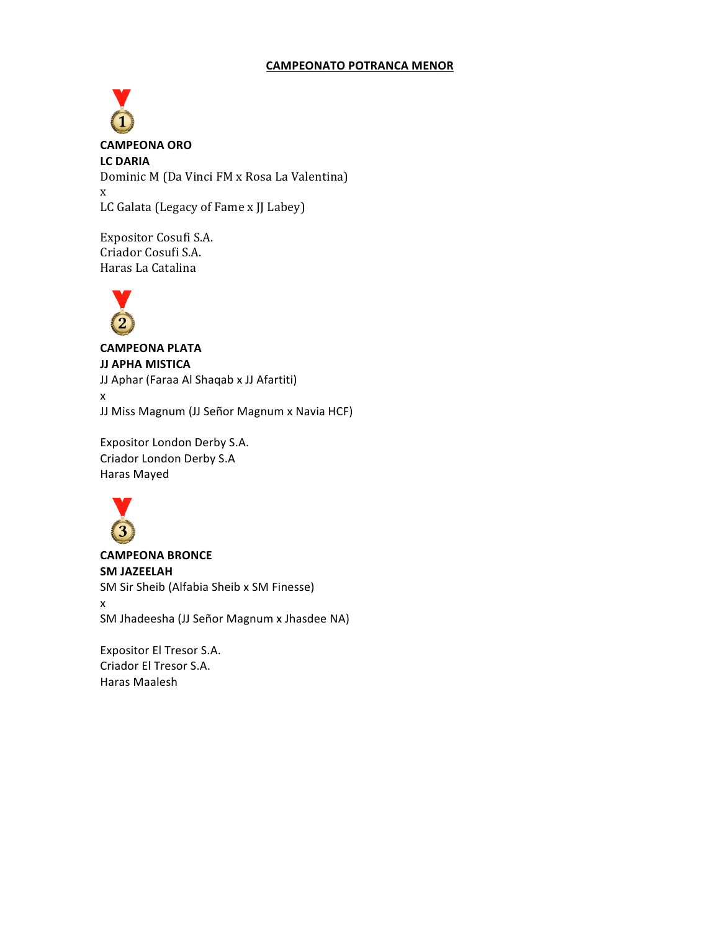## **CAMPEONATO POTRANCA MENOR**

**CAMPEONA ORO LC DARIA** Dominic M (Da Vinci FM x Rosa La Valentina) x LC Galata (Legacy of Fame x JJ Labey)

Expositor Cosufi S.A. Criador Cosufi S.A. Haras La Catalina



# **CAMPEONA PLATA JJ APHA MISTICA**

JJ Aphar (Faraa Al Shaqab x JJ Afartiti) x JJ Miss Magnum (JJ Señor Magnum x Navia HCF)

Expositor London Derby S.A. Criador London Derby S.A Haras Mayed



**CAMPEONA BRONCE SM JAZEELAH** SM Sir Sheib (Alfabia Sheib x SM Finesse) x SM Jhadeesha (JJ Señor Magnum x Jhasdee NA)

Expositor El Tresor S.A. Criador El Tresor S.A. Haras Maalesh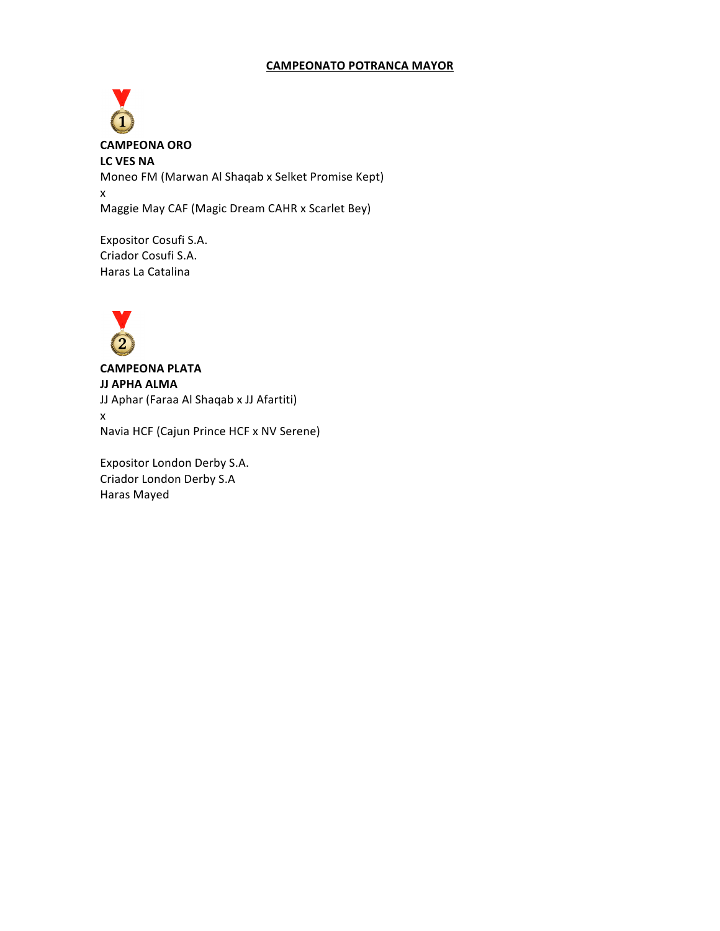### **CAMPEONATO POTRANCA MAYOR**

**CAMPEONA ORO** LC VES NA Moneo FM (Marwan Al Shaqab x Selket Promise Kept) x Maggie May CAF (Magic Dream CAHR x Scarlet Bey)

Expositor Cosufi S.A. Criador Cosufi S.A. Haras La Catalina



**CAMPEONA PLATA JJ APHA ALMA** JJ Aphar (Faraa Al Shaqab x JJ Afartiti) x Navia HCF (Cajun Prince HCF x NV Serene)

Expositor London Derby S.A. Criador London Derby S.A Haras Mayed